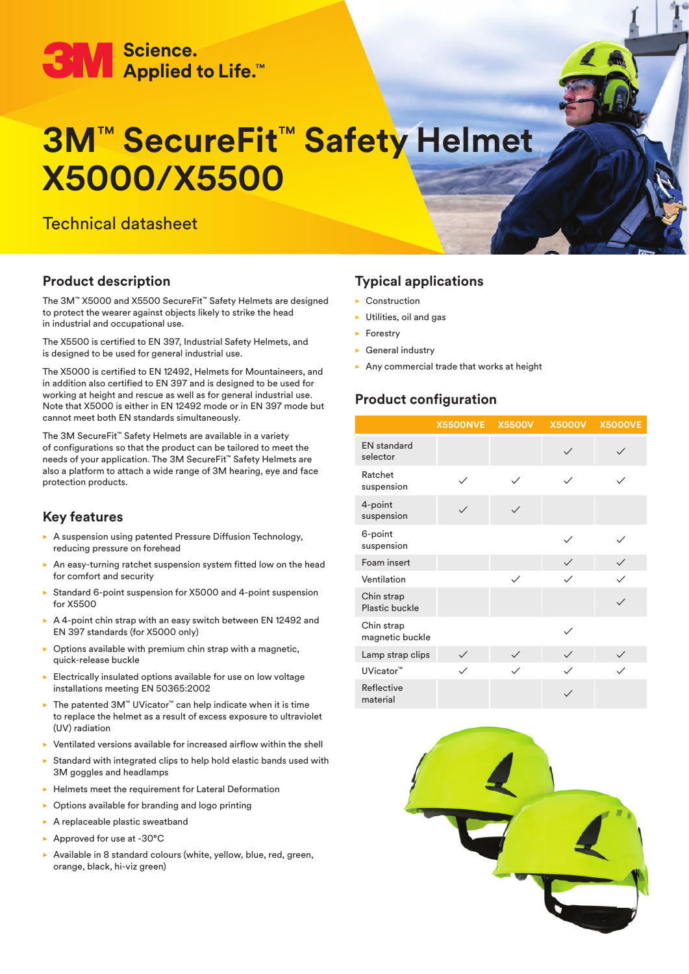# ● Science.<br>● Applied to Life.™

## **3M**™ **SecureFit**™ **Safety Helmet X5000/X5500**

### Technical datasheet

#### **Product description**

The 3M™ X5000 and X5500 SecureFit™ Safety Helmets are designed to protect the wearer against objects likely to strike the head in industrial and occupational use.

The X5500 is certified to EN 397, Industrial Safety Helmets, and is designed to be used for general industrial use.

The X5000 is certified to EN 12492, Helmets for Mountaineers, and in addition also certified to EN 397 and is designed to be used for working at height and rescue as well as for general industrial use. Note that X5000 is either in EN 12492 mode or in EN 397 mode but cannot meet both EN standards simultaneously.

The 3M SecureFit™ Safety Helmets are available in a variety of configurations so that the product can be tailored to meet the needs of your application. The 3M SecureFit™ Safety Helmets are also a platform to attach a wide range of 3M hearing, eye and face protection products.

#### **Key features**

- $\triangleright$  A suspension using patented Pressure Diffusion Technology, reducing pressure on forehead
- An easy-turning ratchet suspension system fitted low on the head for comfort and security
- $\triangleright$  Standard 6-point suspension for X5000 and 4-point suspension for X5500
- $\triangleright$  A 4-point chin strap with an easy switch between EN 12492 and EN 397 standards (for X5000 only)
- $\triangleright$  Options available with premium chin strap with a magnetic, quick-release buckle
- $\blacktriangleright$  Electrically insulated options available for use on low voltage installations meeting EN 50365:2002
- ► The patented 3M™ UVicator™ can help indicate when it is time to replace the helmet as a result of excess exposure to ultraviolet (UV) radiation
- $\blacktriangleright$  Ventilated versions available for increased airflow within the shell
- $\triangleright$  Standard with integrated clips to help hold elastic bands used with 3M goggles and headlamps
- $\blacktriangleright$  Helmets meet the requirement for Lateral Deformation
- $\triangleright$  Options available for branding and logo printing
- $\blacktriangleright$  A replaceable plastic sweatband
- Approved for use at -30 $^{\circ}$ C
- Available in 8 standard colours (white, yellow, blue, red, green, orange, black, hi-viz green)

#### **Typical applications**

- $\blacktriangleright$  Construction
- $\blacktriangleright$  Utilities, oil and gas
- $\blacktriangleright$  Forestry
- $\blacktriangleright$  General industry
- Any commercial trade that works at height

#### **Product configuration**

|                                     | <b>X5500NVE</b> | <b>X5500V</b> |              | X5000V X5000VE |
|-------------------------------------|-----------------|---------------|--------------|----------------|
| <b>EN</b> standard<br>selector      |                 |               | $\checkmark$ |                |
| Ratchet<br>suspension               | $\checkmark$    |               |              |                |
| 4-point<br>suspension               | $\checkmark$    |               |              |                |
| 6-point<br>suspension               |                 |               | $\checkmark$ |                |
| Foam insert                         |                 |               | $\checkmark$ |                |
| Ventilation                         |                 | $\checkmark$  | $\checkmark$ |                |
| Chin strap<br><b>Plastic buckle</b> |                 |               |              |                |
| Chin strap<br>magnetic buckle       |                 |               |              |                |
| Lamp strap clips                    | $\checkmark$    | $\checkmark$  |              |                |
| UVicator <sup>™</sup>               | $\checkmark$    |               |              |                |
| Reflective<br>material              |                 |               |              |                |